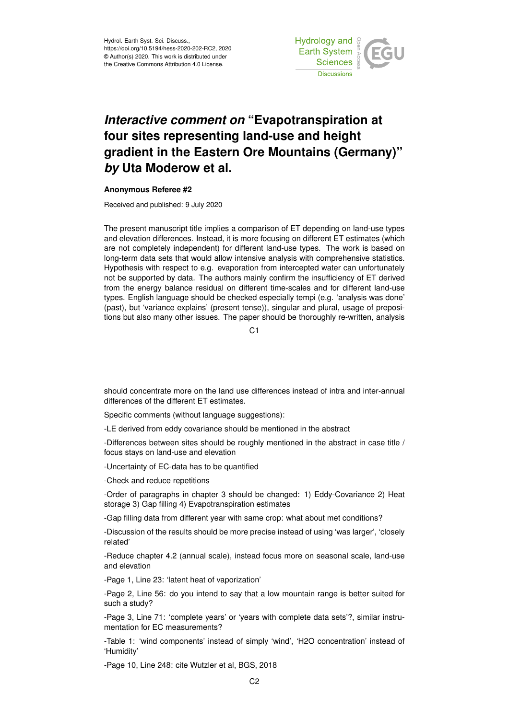Hydrol. Earth Syst. Sci. Discuss., https://doi.org/10.5194/hess-2020-202-RC2, 2020 © Author(s) 2020. This work is distributed under the Creative Commons Attribution 4.0 License.



## *Interactive comment on* **"Evapotranspiration at four sites representing land-use and height gradient in the Eastern Ore Mountains (Germany)"** *by* **Uta Moderow et al.**

## **Anonymous Referee #2**

Received and published: 9 July 2020

The present manuscript title implies a comparison of ET depending on land-use types and elevation differences. Instead, it is more focusing on different ET estimates (which are not completely independent) for different land-use types. The work is based on long-term data sets that would allow intensive analysis with comprehensive statistics. Hypothesis with respect to e.g. evaporation from intercepted water can unfortunately not be supported by data. The authors mainly confirm the insufficiency of ET derived from the energy balance residual on different time-scales and for different land-use types. English language should be checked especially tempi (e.g. 'analysis was done' (past), but 'variance explains' (present tense)), singular and plural, usage of prepositions but also many other issues. The paper should be thoroughly re-written, analysis

C1

should concentrate more on the land use differences instead of intra and inter-annual differences of the different ET estimates.

Specific comments (without language suggestions):

-LE derived from eddy covariance should be mentioned in the abstract

-Differences between sites should be roughly mentioned in the abstract in case title / focus stays on land-use and elevation

-Uncertainty of EC-data has to be quantified

-Check and reduce repetitions

-Order of paragraphs in chapter 3 should be changed: 1) Eddy-Covariance 2) Heat storage 3) Gap filling 4) Evapotranspiration estimates

-Gap filling data from different year with same crop: what about met conditions?

-Discussion of the results should be more precise instead of using 'was larger', 'closely related'

-Reduce chapter 4.2 (annual scale), instead focus more on seasonal scale, land-use and elevation

-Page 1, Line 23: 'latent heat of vaporization'

-Page 2, Line 56: do you intend to say that a low mountain range is better suited for such a study?

-Page 3, Line 71: 'complete years' or 'years with complete data sets'?, similar instrumentation for EC measurements?

-Table 1: 'wind components' instead of simply 'wind', 'H2O concentration' instead of 'Humidity'

-Page 10, Line 248: cite Wutzler et al, BGS, 2018